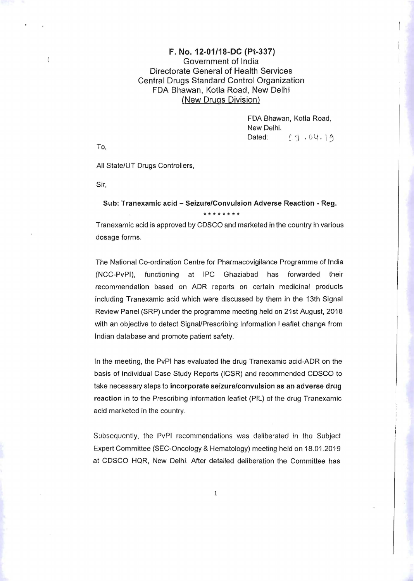## $F. No. 12-01/18-DC (Pt-337)$ Government of India Directorate General of Health Services Central Drugs Standard Control Organization FDA Bhawan, Kotla Road, New Delhi (New Drugs Division)

FDA Bhawan, Kotla Road, New Delhi. Dated:  $\left[ \begin{array}{cc} 0 & 0 & 0 \\ 0 & 1 & 0 \end{array} \right]$ 

To,

 $\overline{(\ }$ 

All State/UT Drugs Controllers,

Sir,

## Sub: Tranexamic acid - Seizure/Convulsion Adverse Reaction - Reg. **\*\*\*\*\*\*\*\***

Tranexamic acid is approved by CDSCO and marketed in the country in various dosage forms.

The National Co-ordination Centre for Pharmacovigilance Programme of India (NCC-PvPI), functioning at IPC Ghaziabad has forwarded their recommendation based on ADR reports on certain medicinal products including Tranexamic acid which were discussed by them in the 13th Signal Review Panel (SRP) under the programme meeting held on 21st August, 2018 with an objective to detect Signal/Prescribing Information Leaflet change from Indian database and promote patient safety.

In the meeting, the PvPI has evaluated the drug Tranexamic acid-ADR on the basis of Individual Case Study Reports (ICSR) and recommended CDSCO to take necessary steps to Incorporate seizure/convulsion as an adverse drug reaction in to the Prescribing information leaflet (PIL) of the drug Tranexamic acid marketed in the country.

Subsequently, the PvPI recommendations was deliberated in the Subject Expert Committee (SEC-Oncology & Hematology) meeting held on 18.01.2019 at CDSCO HQR, New Delhi. After detailed deliberation the Committee has